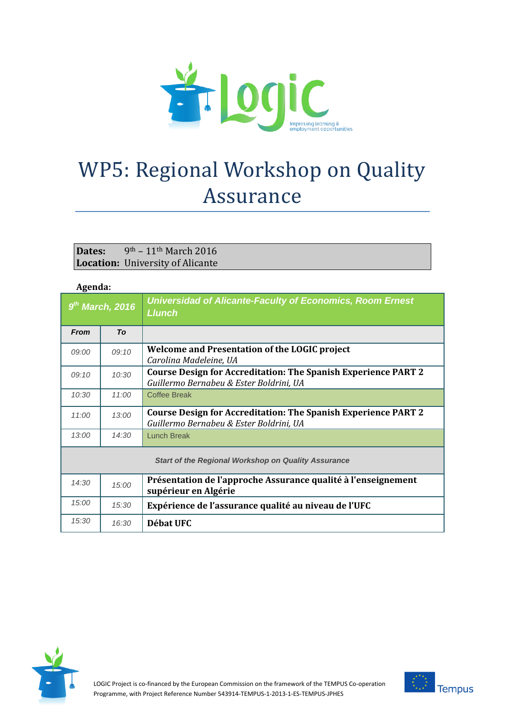

## WP5: Regional Workshop on Quality Assurance

## **Dates:** 9th – 11th March 2016 **Location:** University of Alicante

## **Agenda:**

|                                                            | $\sim$ |                                                                                                                  |  |  |  |
|------------------------------------------------------------|--------|------------------------------------------------------------------------------------------------------------------|--|--|--|
| $9th$ March, 2016                                          |        | <b>Universidad of Alicante-Faculty of Economics, Room Ernest</b><br><b>Llunch</b>                                |  |  |  |
| <b>From</b>                                                | To     |                                                                                                                  |  |  |  |
| 09:00                                                      | 09:10  | Welcome and Presentation of the LOGIC project<br>Carolina Madeleine, UA                                          |  |  |  |
| 09:10                                                      | 10:30  | <b>Course Design for Accreditation: The Spanish Experience PART 2</b><br>Guillermo Bernabeu & Ester Boldrini, UA |  |  |  |
| 10:30                                                      | 11:00  | <b>Coffee Break</b>                                                                                              |  |  |  |
| 11:00                                                      | 13:00  | <b>Course Design for Accreditation: The Spanish Experience PART 2</b><br>Guillermo Bernabeu & Ester Boldrini, UA |  |  |  |
| 13:00                                                      | 14:30  | <b>Lunch Break</b>                                                                                               |  |  |  |
| <b>Start of the Regional Workshop on Quality Assurance</b> |        |                                                                                                                  |  |  |  |
| 14:30                                                      | 15:00  | Présentation de l'approche Assurance qualité à l'enseignement<br>supérieur en Algérie                            |  |  |  |
| 15:00                                                      | 15:30  | Expérience de l'assurance qualité au niveau de l'UFC                                                             |  |  |  |
| 15:30                                                      | 16:30  | Débat UFC                                                                                                        |  |  |  |



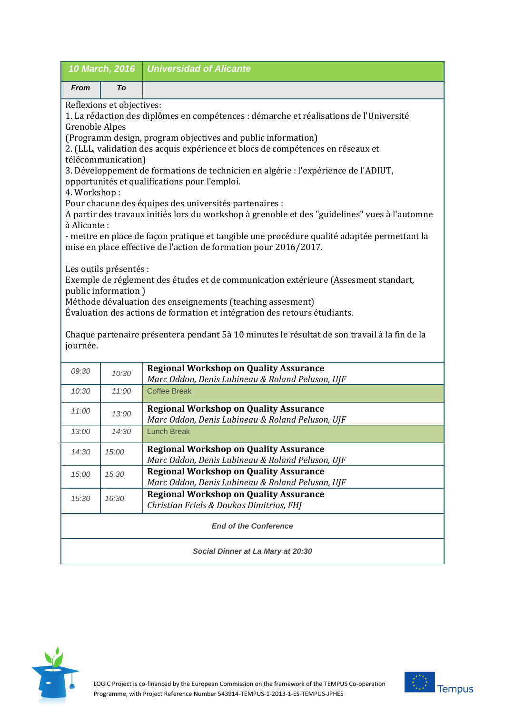| 10 March, 2016                                                                                                                                                                                                                                                                                                                                                                              |       | <b>Universidad of Alicante</b>                                                                    |  |  |
|---------------------------------------------------------------------------------------------------------------------------------------------------------------------------------------------------------------------------------------------------------------------------------------------------------------------------------------------------------------------------------------------|-------|---------------------------------------------------------------------------------------------------|--|--|
| <b>From</b>                                                                                                                                                                                                                                                                                                                                                                                 | To    |                                                                                                   |  |  |
| Reflexions et objectives:<br>1. La rédaction des diplômes en compétences : démarche et réalisations de l'Université<br><b>Grenoble Alpes</b><br>(Programm design, program objectives and public information)<br>2. (LLL, validation des acquis expérience et blocs de compétences en réseaux et                                                                                             |       |                                                                                                   |  |  |
| télécommunication)<br>3. Développement de formations de technicien en algérie : l'expérience de l'ADIUT,<br>opportunités et qualifications pour l'emploi.<br>4. Workshop:                                                                                                                                                                                                                   |       |                                                                                                   |  |  |
| Pour chacune des équipes des universités partenaires :<br>A partir des travaux initiés lors du workshop à grenoble et des "guidelines" vues à l'automne<br>à Alicante:                                                                                                                                                                                                                      |       |                                                                                                   |  |  |
| - mettre en place de façon pratique et tangible une procédure qualité adaptée permettant la<br>mise en place effective de l'action de formation pour 2016/2017.                                                                                                                                                                                                                             |       |                                                                                                   |  |  |
| Les outils présentés :<br>Exemple de réglement des études et de communication extérieure (Assesment standart,<br>public information)<br>Méthode dévaluation des enseignements (teaching assesment)<br>Évaluation des actions de formation et intégration des retours étudiants.<br>Chaque partenaire présentera pendant 5à 10 minutes le résultat de son travail à la fin de la<br>journée. |       |                                                                                                   |  |  |
| 09:30                                                                                                                                                                                                                                                                                                                                                                                       | 10:30 | <b>Regional Workshop on Quality Assurance</b><br>Marc Oddon, Denis Lubineau & Roland Peluson, UJF |  |  |
| 10:30                                                                                                                                                                                                                                                                                                                                                                                       | 11:00 | <b>Coffee Break</b>                                                                               |  |  |
| 11:00                                                                                                                                                                                                                                                                                                                                                                                       | 13:00 | <b>Regional Workshop on Quality Assurance</b><br>Marc Oddon, Denis Lubineau & Roland Peluson, UJF |  |  |
| 13:00                                                                                                                                                                                                                                                                                                                                                                                       | 14:30 | <b>Lunch Break</b>                                                                                |  |  |
| 14:30                                                                                                                                                                                                                                                                                                                                                                                       | 15:00 | <b>Regional Workshop on Quality Assurance</b><br>Marc Oddon, Denis Lubineau & Roland Peluson, UJF |  |  |
| 15:00                                                                                                                                                                                                                                                                                                                                                                                       | 15:30 | <b>Regional Workshop on Quality Assurance</b><br>Marc Oddon, Denis Lubineau & Roland Peluson, UJF |  |  |
| 15:30                                                                                                                                                                                                                                                                                                                                                                                       | 16:30 | <b>Regional Workshop on Quality Assurance</b><br>Christian Friels & Doukas Dimitrios, FHJ         |  |  |
| <b>End of the Conference</b>                                                                                                                                                                                                                                                                                                                                                                |       |                                                                                                   |  |  |
| Social Dinner at La Mary at 20:30                                                                                                                                                                                                                                                                                                                                                           |       |                                                                                                   |  |  |



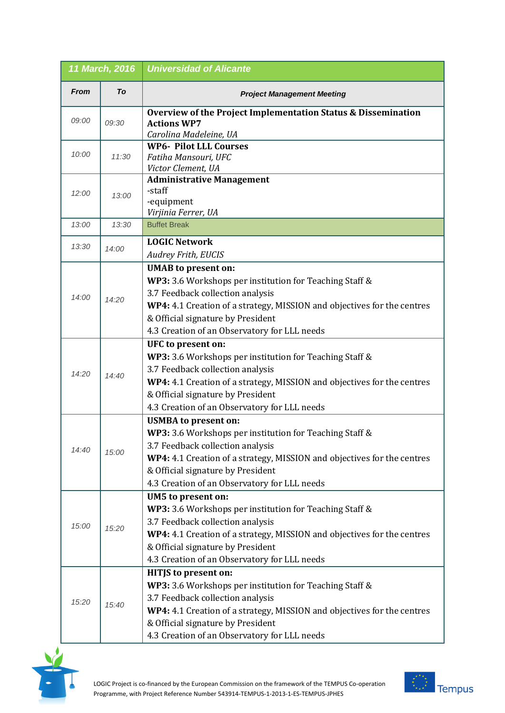| 11 March, 2016 |       | <b>Universidad of Alicante</b>                                                                                                                                                                                                                                                             |
|----------------|-------|--------------------------------------------------------------------------------------------------------------------------------------------------------------------------------------------------------------------------------------------------------------------------------------------|
| <b>From</b>    | To    | <b>Project Management Meeting</b>                                                                                                                                                                                                                                                          |
| 09:00          | 09:30 | Overview of the Project Implementation Status & Dissemination<br><b>Actions WP7</b><br>Carolina Madeleine, UA                                                                                                                                                                              |
| 10:00          | 11:30 | <b>WP6- Pilot LLL Courses</b><br>Fatiha Mansouri, UFC<br>Victor Clement, UA                                                                                                                                                                                                                |
| 12:00          | 13:00 | <b>Administrative Management</b><br>-staff<br>-equipment<br>Virjinia Ferrer, UA                                                                                                                                                                                                            |
| 13:00          | 13:30 | <b>Buffet Break</b>                                                                                                                                                                                                                                                                        |
| 13:30          | 14:00 | <b>LOGIC Network</b><br><b>Audrey Frith, EUCIS</b>                                                                                                                                                                                                                                         |
| 14:00          | 14:20 | <b>UMAB</b> to present on:<br>WP3: 3.6 Workshops per institution for Teaching Staff &<br>3.7 Feedback collection analysis<br>WP4: 4.1 Creation of a strategy, MISSION and objectives for the centres<br>& Official signature by President<br>4.3 Creation of an Observatory for LLL needs  |
| 14:20          | 14:40 | UFC to present on:<br>WP3: 3.6 Workshops per institution for Teaching Staff &<br>3.7 Feedback collection analysis<br>WP4: 4.1 Creation of a strategy, MISSION and objectives for the centres<br>& Official signature by President<br>4.3 Creation of an Observatory for LLL needs          |
| 14:40          | 15:00 | <b>USMBA</b> to present on:<br>WP3: 3.6 Workshops per institution for Teaching Staff &<br>3.7 Feedback collection analysis<br>WP4: 4.1 Creation of a strategy, MISSION and objectives for the centres<br>& Official signature by President<br>4.3 Creation of an Observatory for LLL needs |
| 15:00          | 15:20 | UM5 to present on:<br>WP3: 3.6 Workshops per institution for Teaching Staff &<br>3.7 Feedback collection analysis<br>WP4: 4.1 Creation of a strategy, MISSION and objectives for the centres<br>& Official signature by President<br>4.3 Creation of an Observatory for LLL needs          |
| 15:20          | 15:40 | <b>HITJS</b> to present on:<br>WP3: 3.6 Workshops per institution for Teaching Staff &<br>3.7 Feedback collection analysis<br>WP4: 4.1 Creation of a strategy, MISSION and objectives for the centres<br>& Official signature by President<br>4.3 Creation of an Observatory for LLL needs |